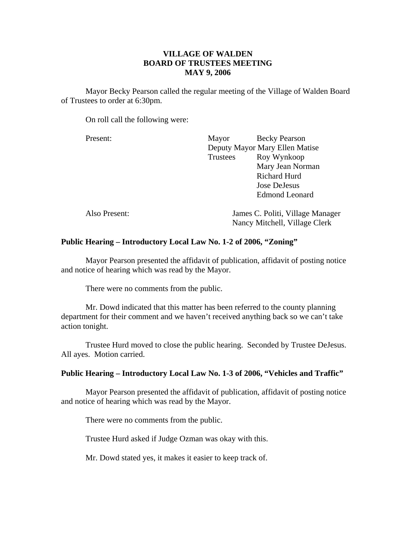# **VILLAGE OF WALDEN BOARD OF TRUSTEES MEETING MAY 9, 2006**

 Mayor Becky Pearson called the regular meeting of the Village of Walden Board of Trustees to order at 6:30pm.

On roll call the following were:

Present: Mayor Becky Pearson

| 1 1000111.    | <b>IVIA Y UI</b>               | DUCKY I CALOUI                   |
|---------------|--------------------------------|----------------------------------|
|               | Deputy Mayor Mary Ellen Matise |                                  |
|               | Trustees                       | Roy Wynkoop                      |
|               |                                | Mary Jean Norman                 |
|               |                                | <b>Richard Hurd</b>              |
|               |                                | Jose DeJesus                     |
|               |                                | <b>Edmond Leonard</b>            |
| Also Present: |                                | James C. Politi, Village Manager |
|               | Nancy Mitchell, Village Clerk  |                                  |

# **Public Hearing – Introductory Local Law No. 1-2 of 2006, "Zoning"**

Mayor Pearson presented the affidavit of publication, affidavit of posting notice and notice of hearing which was read by the Mayor.

There were no comments from the public.

 Mr. Dowd indicated that this matter has been referred to the county planning department for their comment and we haven't received anything back so we can't take action tonight.

 Trustee Hurd moved to close the public hearing. Seconded by Trustee DeJesus. All ayes. Motion carried.

## **Public Hearing – Introductory Local Law No. 1-3 of 2006, "Vehicles and Traffic"**

Mayor Pearson presented the affidavit of publication, affidavit of posting notice and notice of hearing which was read by the Mayor.

There were no comments from the public.

Trustee Hurd asked if Judge Ozman was okay with this.

Mr. Dowd stated yes, it makes it easier to keep track of.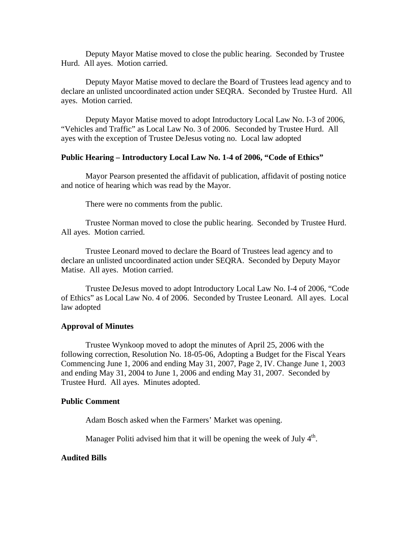Deputy Mayor Matise moved to close the public hearing. Seconded by Trustee Hurd. All ayes. Motion carried.

 Deputy Mayor Matise moved to declare the Board of Trustees lead agency and to declare an unlisted uncoordinated action under SEQRA. Seconded by Trustee Hurd. All ayes. Motion carried.

 Deputy Mayor Matise moved to adopt Introductory Local Law No. I-3 of 2006, "Vehicles and Traffic" as Local Law No. 3 of 2006. Seconded by Trustee Hurd. All ayes with the exception of Trustee DeJesus voting no. Local law adopted

# **Public Hearing – Introductory Local Law No. 1-4 of 2006, "Code of Ethics"**

Mayor Pearson presented the affidavit of publication, affidavit of posting notice and notice of hearing which was read by the Mayor.

There were no comments from the public.

 Trustee Norman moved to close the public hearing. Seconded by Trustee Hurd. All ayes. Motion carried.

 Trustee Leonard moved to declare the Board of Trustees lead agency and to declare an unlisted uncoordinated action under SEQRA. Seconded by Deputy Mayor Matise. All ayes. Motion carried.

 Trustee DeJesus moved to adopt Introductory Local Law No. I-4 of 2006, "Code of Ethics" as Local Law No. 4 of 2006. Seconded by Trustee Leonard. All ayes. Local law adopted

### **Approval of Minutes**

Trustee Wynkoop moved to adopt the minutes of April 25, 2006 with the following correction, Resolution No. 18-05-06, Adopting a Budget for the Fiscal Years Commencing June 1, 2006 and ending May 31, 2007, Page 2, IV. Change June 1, 2003 and ending May 31, 2004 to June 1, 2006 and ending May 31, 2007. Seconded by Trustee Hurd. All ayes. Minutes adopted.

# **Public Comment**

Adam Bosch asked when the Farmers' Market was opening.

Manager Politi advised him that it will be opening the week of July  $4<sup>th</sup>$ .

### **Audited Bills**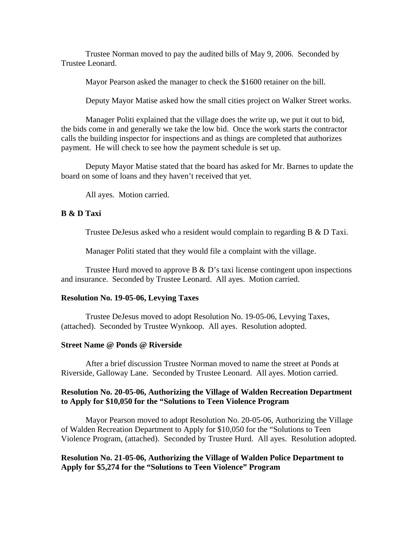Trustee Norman moved to pay the audited bills of May 9, 2006. Seconded by Trustee Leonard.

Mayor Pearson asked the manager to check the \$1600 retainer on the bill.

Deputy Mayor Matise asked how the small cities project on Walker Street works.

 Manager Politi explained that the village does the write up, we put it out to bid, the bids come in and generally we take the low bid. Once the work starts the contractor calls the building inspector for inspections and as things are completed that authorizes payment. He will check to see how the payment schedule is set up.

 Deputy Mayor Matise stated that the board has asked for Mr. Barnes to update the board on some of loans and they haven't received that yet.

All ayes. Motion carried.

# **B & D Taxi**

Trustee DeJesus asked who a resident would complain to regarding B & D Taxi.

Manager Politi stated that they would file a complaint with the village.

Trustee Hurd moved to approve  $B \& D$ 's taxi license contingent upon inspections and insurance. Seconded by Trustee Leonard. All ayes. Motion carried.

#### **Resolution No. 19-05-06, Levying Taxes**

Trustee DeJesus moved to adopt Resolution No. 19-05-06, Levying Taxes, (attached). Seconded by Trustee Wynkoop. All ayes. Resolution adopted.

#### **Street Name @ Ponds @ Riverside**

After a brief discussion Trustee Norman moved to name the street at Ponds at Riverside, Galloway Lane. Seconded by Trustee Leonard. All ayes. Motion carried.

# **Resolution No. 20-05-06, Authorizing the Village of Walden Recreation Department to Apply for \$10,050 for the "Solutions to Teen Violence Program**

Mayor Pearson moved to adopt Resolution No. 20-05-06, Authorizing the Village of Walden Recreation Department to Apply for \$10,050 for the "Solutions to Teen Violence Program, (attached). Seconded by Trustee Hurd. All ayes. Resolution adopted.

# **Resolution No. 21-05-06, Authorizing the Village of Walden Police Department to Apply for \$5,274 for the "Solutions to Teen Violence" Program**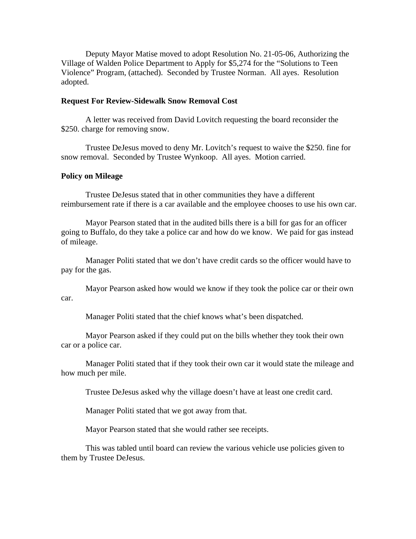Deputy Mayor Matise moved to adopt Resolution No. 21-05-06, Authorizing the Village of Walden Police Department to Apply for \$5,274 for the "Solutions to Teen Violence" Program, (attached). Seconded by Trustee Norman. All ayes. Resolution adopted.

### **Request For Review-Sidewalk Snow Removal Cost**

A letter was received from David Lovitch requesting the board reconsider the \$250. charge for removing snow.

 Trustee DeJesus moved to deny Mr. Lovitch's request to waive the \$250. fine for snow removal. Seconded by Trustee Wynkoop. All ayes. Motion carried.

#### **Policy on Mileage**

Trustee DeJesus stated that in other communities they have a different reimbursement rate if there is a car available and the employee chooses to use his own car.

 Mayor Pearson stated that in the audited bills there is a bill for gas for an officer going to Buffalo, do they take a police car and how do we know. We paid for gas instead of mileage.

 Manager Politi stated that we don't have credit cards so the officer would have to pay for the gas.

 Mayor Pearson asked how would we know if they took the police car or their own car.

Manager Politi stated that the chief knows what's been dispatched.

 Mayor Pearson asked if they could put on the bills whether they took their own car or a police car.

 Manager Politi stated that if they took their own car it would state the mileage and how much per mile.

Trustee DeJesus asked why the village doesn't have at least one credit card.

Manager Politi stated that we got away from that.

Mayor Pearson stated that she would rather see receipts.

This was tabled until board can review the various vehicle use policies given to them by Trustee DeJesus.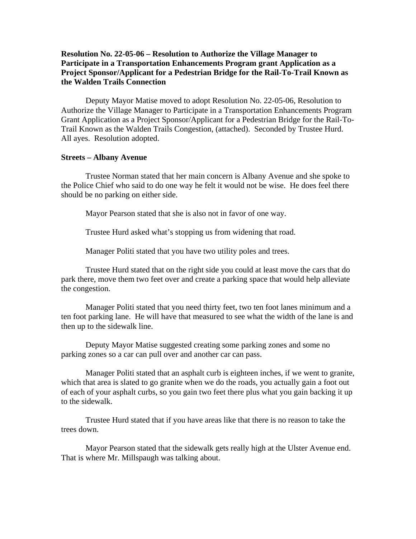# **Resolution No. 22-05-06 – Resolution to Authorize the Village Manager to Participate in a Transportation Enhancements Program grant Application as a Project Sponsor/Applicant for a Pedestrian Bridge for the Rail-To-Trail Known as the Walden Trails Connection**

Deputy Mayor Matise moved to adopt Resolution No. 22-05-06, Resolution to Authorize the Village Manager to Participate in a Transportation Enhancements Program Grant Application as a Project Sponsor/Applicant for a Pedestrian Bridge for the Rail-To-Trail Known as the Walden Trails Congestion, (attached). Seconded by Trustee Hurd. All ayes. Resolution adopted.

#### **Streets – Albany Avenue**

Trustee Norman stated that her main concern is Albany Avenue and she spoke to the Police Chief who said to do one way he felt it would not be wise. He does feel there should be no parking on either side.

Mayor Pearson stated that she is also not in favor of one way.

Trustee Hurd asked what's stopping us from widening that road.

Manager Politi stated that you have two utility poles and trees.

 Trustee Hurd stated that on the right side you could at least move the cars that do park there, move them two feet over and create a parking space that would help alleviate the congestion.

 Manager Politi stated that you need thirty feet, two ten foot lanes minimum and a ten foot parking lane. He will have that measured to see what the width of the lane is and then up to the sidewalk line.

 Deputy Mayor Matise suggested creating some parking zones and some no parking zones so a car can pull over and another car can pass.

 Manager Politi stated that an asphalt curb is eighteen inches, if we went to granite, which that area is slated to go granite when we do the roads, you actually gain a foot out of each of your asphalt curbs, so you gain two feet there plus what you gain backing it up to the sidewalk.

 Trustee Hurd stated that if you have areas like that there is no reason to take the trees down.

 Mayor Pearson stated that the sidewalk gets really high at the Ulster Avenue end. That is where Mr. Millspaugh was talking about.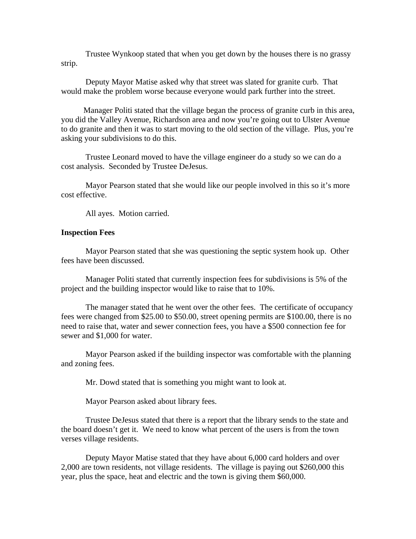Trustee Wynkoop stated that when you get down by the houses there is no grassy strip.

 Deputy Mayor Matise asked why that street was slated for granite curb. That would make the problem worse because everyone would park further into the street.

 Manager Politi stated that the village began the process of granite curb in this area, you did the Valley Avenue, Richardson area and now you're going out to Ulster Avenue to do granite and then it was to start moving to the old section of the village. Plus, you're asking your subdivisions to do this.

 Trustee Leonard moved to have the village engineer do a study so we can do a cost analysis. Seconded by Trustee DeJesus.

 Mayor Pearson stated that she would like our people involved in this so it's more cost effective.

All ayes. Motion carried.

### **Inspection Fees**

Mayor Pearson stated that she was questioning the septic system hook up. Other fees have been discussed.

 Manager Politi stated that currently inspection fees for subdivisions is 5% of the project and the building inspector would like to raise that to 10%.

 The manager stated that he went over the other fees. The certificate of occupancy fees were changed from \$25.00 to \$50.00, street opening permits are \$100.00, there is no need to raise that, water and sewer connection fees, you have a \$500 connection fee for sewer and \$1,000 for water.

 Mayor Pearson asked if the building inspector was comfortable with the planning and zoning fees.

Mr. Dowd stated that is something you might want to look at.

Mayor Pearson asked about library fees.

 Trustee DeJesus stated that there is a report that the library sends to the state and the board doesn't get it. We need to know what percent of the users is from the town verses village residents.

 Deputy Mayor Matise stated that they have about 6,000 card holders and over 2,000 are town residents, not village residents. The village is paying out \$260,000 this year, plus the space, heat and electric and the town is giving them \$60,000.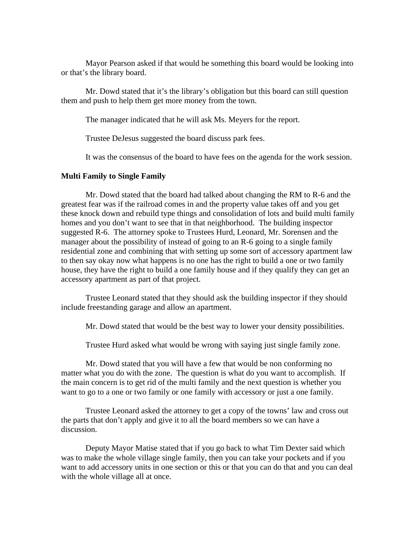Mayor Pearson asked if that would be something this board would be looking into or that's the library board.

 Mr. Dowd stated that it's the library's obligation but this board can still question them and push to help them get more money from the town.

The manager indicated that he will ask Ms. Meyers for the report.

Trustee DeJesus suggested the board discuss park fees.

It was the consensus of the board to have fees on the agenda for the work session.

#### **Multi Family to Single Family**

Mr. Dowd stated that the board had talked about changing the RM to R-6 and the greatest fear was if the railroad comes in and the property value takes off and you get these knock down and rebuild type things and consolidation of lots and build multi family homes and you don't want to see that in that neighborhood. The building inspector suggested R-6. The attorney spoke to Trustees Hurd, Leonard, Mr. Sorensen and the manager about the possibility of instead of going to an R-6 going to a single family residential zone and combining that with setting up some sort of accessory apartment law to then say okay now what happens is no one has the right to build a one or two family house, they have the right to build a one family house and if they qualify they can get an accessory apartment as part of that project.

 Trustee Leonard stated that they should ask the building inspector if they should include freestanding garage and allow an apartment.

Mr. Dowd stated that would be the best way to lower your density possibilities.

Trustee Hurd asked what would be wrong with saying just single family zone.

 Mr. Dowd stated that you will have a few that would be non conforming no matter what you do with the zone. The question is what do you want to accomplish. If the main concern is to get rid of the multi family and the next question is whether you want to go to a one or two family or one family with accessory or just a one family.

Trustee Leonard asked the attorney to get a copy of the towns' law and cross out the parts that don't apply and give it to all the board members so we can have a discussion.

Deputy Mayor Matise stated that if you go back to what Tim Dexter said which was to make the whole village single family, then you can take your pockets and if you want to add accessory units in one section or this or that you can do that and you can deal with the whole village all at once.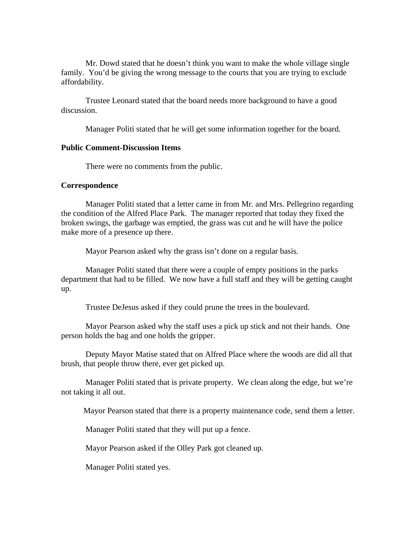Mr. Dowd stated that he doesn't think you want to make the whole village single family. You'd be giving the wrong message to the courts that you are trying to exclude affordability.

Trustee Leonard stated that the board needs more background to have a good discussion.

Manager Politi stated that he will get some information together for the board.

### **Public Comment-Discussion Items**

There were no comments from the public.

#### **Correspondence**

Manager Politi stated that a letter came in from Mr. and Mrs. Pellegrino regarding the condition of the Alfred Place Park. The manager reported that today they fixed the broken swings, the garbage was emptied, the grass was cut and he will have the police make more of a presence up there.

Mayor Pearson asked why the grass isn't done on a regular basis.

 Manager Politi stated that there were a couple of empty positions in the parks department that had to be filled. We now have a full staff and they will be getting caught up.

Trustee DeJesus asked if they could prune the trees in the boulevard.

 Mayor Pearson asked why the staff uses a pick up stick and not their hands. One person holds the bag and one holds the gripper.

 Deputy Mayor Matise stated that on Alfred Place where the woods are did all that brush, that people throw there, ever get picked up.

 Manager Politi stated that is private property. We clean along the edge, but we're not taking it all out.

Mayor Pearson stated that there is a property maintenance code, send them a letter.

Manager Politi stated that they will put up a fence.

Mayor Pearson asked if the Olley Park got cleaned up.

Manager Politi stated yes.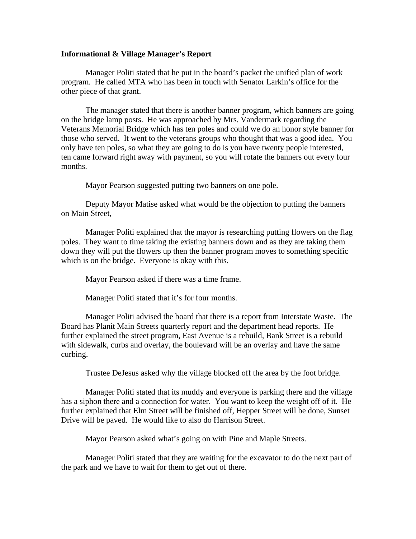#### **Informational & Village Manager's Report**

Manager Politi stated that he put in the board's packet the unified plan of work program. He called MTA who has been in touch with Senator Larkin's office for the other piece of that grant.

 The manager stated that there is another banner program, which banners are going on the bridge lamp posts. He was approached by Mrs. Vandermark regarding the Veterans Memorial Bridge which has ten poles and could we do an honor style banner for those who served. It went to the veterans groups who thought that was a good idea. You only have ten poles, so what they are going to do is you have twenty people interested, ten came forward right away with payment, so you will rotate the banners out every four months.

Mayor Pearson suggested putting two banners on one pole.

 Deputy Mayor Matise asked what would be the objection to putting the banners on Main Street,

 Manager Politi explained that the mayor is researching putting flowers on the flag poles. They want to time taking the existing banners down and as they are taking them down they will put the flowers up then the banner program moves to something specific which is on the bridge. Everyone is okay with this.

Mayor Pearson asked if there was a time frame.

Manager Politi stated that it's for four months.

 Manager Politi advised the board that there is a report from Interstate Waste. The Board has Planit Main Streets quarterly report and the department head reports. He further explained the street program, East Avenue is a rebuild, Bank Street is a rebuild with sidewalk, curbs and overlay, the boulevard will be an overlay and have the same curbing.

Trustee DeJesus asked why the village blocked off the area by the foot bridge.

 Manager Politi stated that its muddy and everyone is parking there and the village has a siphon there and a connection for water. You want to keep the weight off of it. He further explained that Elm Street will be finished off, Hepper Street will be done, Sunset Drive will be paved. He would like to also do Harrison Street.

Mayor Pearson asked what's going on with Pine and Maple Streets.

 Manager Politi stated that they are waiting for the excavator to do the next part of the park and we have to wait for them to get out of there.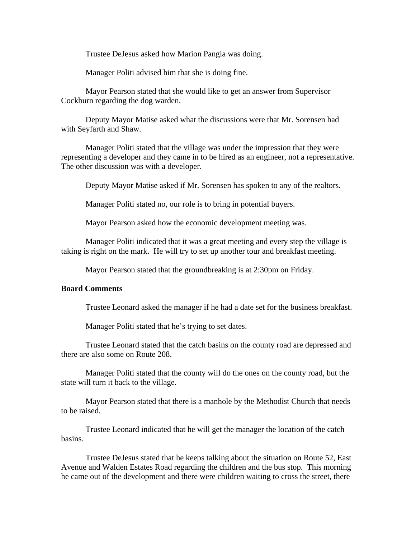Trustee DeJesus asked how Marion Pangia was doing.

Manager Politi advised him that she is doing fine.

 Mayor Pearson stated that she would like to get an answer from Supervisor Cockburn regarding the dog warden.

 Deputy Mayor Matise asked what the discussions were that Mr. Sorensen had with Seyfarth and Shaw.

 Manager Politi stated that the village was under the impression that they were representing a developer and they came in to be hired as an engineer, not a representative. The other discussion was with a developer.

Deputy Mayor Matise asked if Mr. Sorensen has spoken to any of the realtors.

Manager Politi stated no, our role is to bring in potential buyers.

Mayor Pearson asked how the economic development meeting was.

 Manager Politi indicated that it was a great meeting and every step the village is taking is right on the mark. He will try to set up another tour and breakfast meeting.

Mayor Pearson stated that the groundbreaking is at 2:30pm on Friday.

## **Board Comments**

Trustee Leonard asked the manager if he had a date set for the business breakfast.

Manager Politi stated that he's trying to set dates.

 Trustee Leonard stated that the catch basins on the county road are depressed and there are also some on Route 208.

 Manager Politi stated that the county will do the ones on the county road, but the state will turn it back to the village.

 Mayor Pearson stated that there is a manhole by the Methodist Church that needs to be raised.

 Trustee Leonard indicated that he will get the manager the location of the catch basins.

 Trustee DeJesus stated that he keeps talking about the situation on Route 52, East Avenue and Walden Estates Road regarding the children and the bus stop. This morning he came out of the development and there were children waiting to cross the street, there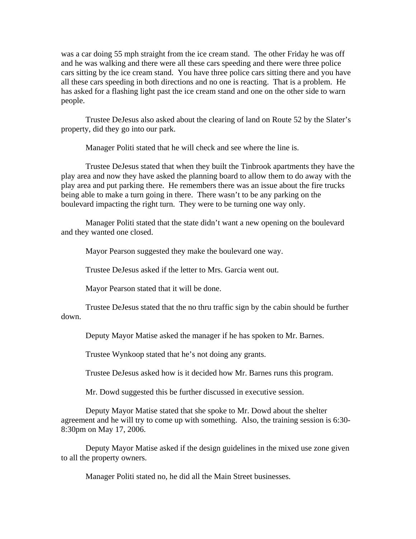was a car doing 55 mph straight from the ice cream stand. The other Friday he was off and he was walking and there were all these cars speeding and there were three police cars sitting by the ice cream stand. You have three police cars sitting there and you have all these cars speeding in both directions and no one is reacting. That is a problem. He has asked for a flashing light past the ice cream stand and one on the other side to warn people.

 Trustee DeJesus also asked about the clearing of land on Route 52 by the Slater's property, did they go into our park.

Manager Politi stated that he will check and see where the line is.

 Trustee DeJesus stated that when they built the Tinbrook apartments they have the play area and now they have asked the planning board to allow them to do away with the play area and put parking there. He remembers there was an issue about the fire trucks being able to make a turn going in there. There wasn't to be any parking on the boulevard impacting the right turn. They were to be turning one way only.

 Manager Politi stated that the state didn't want a new opening on the boulevard and they wanted one closed.

Mayor Pearson suggested they make the boulevard one way.

Trustee DeJesus asked if the letter to Mrs. Garcia went out.

Mayor Pearson stated that it will be done.

 Trustee DeJesus stated that the no thru traffic sign by the cabin should be further down.

Deputy Mayor Matise asked the manager if he has spoken to Mr. Barnes.

Trustee Wynkoop stated that he's not doing any grants.

Trustee DeJesus asked how is it decided how Mr. Barnes runs this program.

Mr. Dowd suggested this be further discussed in executive session.

 Deputy Mayor Matise stated that she spoke to Mr. Dowd about the shelter agreement and he will try to come up with something. Also, the training session is 6:30- 8:30pm on May 17, 2006.

 Deputy Mayor Matise asked if the design guidelines in the mixed use zone given to all the property owners.

Manager Politi stated no, he did all the Main Street businesses.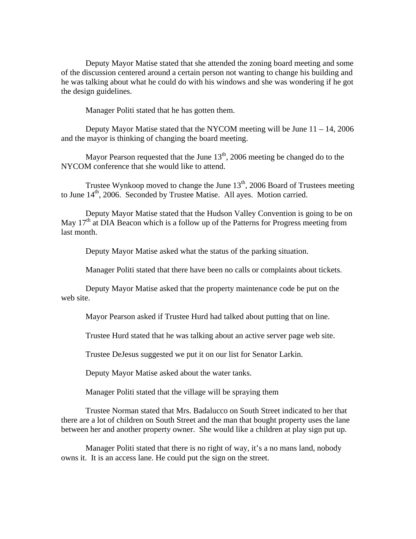Deputy Mayor Matise stated that she attended the zoning board meeting and some of the discussion centered around a certain person not wanting to change his building and he was talking about what he could do with his windows and she was wondering if he got the design guidelines.

Manager Politi stated that he has gotten them.

Deputy Mayor Matise stated that the NYCOM meeting will be June  $11 - 14$ , 2006 and the mayor is thinking of changing the board meeting.

Mayor Pearson requested that the June  $13<sup>th</sup>$ , 2006 meeting be changed do to the NYCOM conference that she would like to attend.

Trustee Wynkoop moved to change the June  $13<sup>th</sup>$ , 2006 Board of Trustees meeting to June 14<sup>th</sup>, 2006. Seconded by Trustee Matise. All ayes. Motion carried.

 Deputy Mayor Matise stated that the Hudson Valley Convention is going to be on May  $17<sup>th</sup>$  at DIA Beacon which is a follow up of the Patterns for Progress meeting from last month.

Deputy Mayor Matise asked what the status of the parking situation.

Manager Politi stated that there have been no calls or complaints about tickets.

 Deputy Mayor Matise asked that the property maintenance code be put on the web site.

Mayor Pearson asked if Trustee Hurd had talked about putting that on line.

Trustee Hurd stated that he was talking about an active server page web site.

Trustee DeJesus suggested we put it on our list for Senator Larkin.

Deputy Mayor Matise asked about the water tanks.

Manager Politi stated that the village will be spraying them

 Trustee Norman stated that Mrs. Badalucco on South Street indicated to her that there are a lot of children on South Street and the man that bought property uses the lane between her and another property owner. She would like a children at play sign put up.

 Manager Politi stated that there is no right of way, it's a no mans land, nobody owns it. It is an access lane. He could put the sign on the street.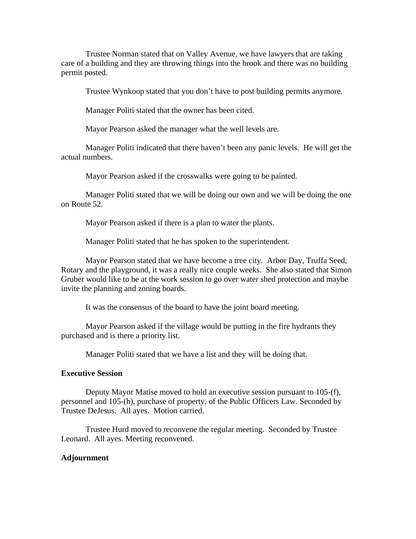Trustee Norman stated that on Valley Avenue, we have lawyers that are taking care of a building and they are throwing things into the brook and there was no building permit posted.

Trustee Wynkoop stated that you don't have to post building permits anymore.

Manager Politi stated that the owner has been cited.

Mayor Pearson asked the manager what the well levels are.

 Manager Politi indicated that there haven't been any panic levels. He will get the actual numbers.

Mayor Pearson asked if the crosswalks were going to be painted.

 Manager Politi stated that we will be doing our own and we will be doing the one on Route 52.

Mayor Pearson asked if there is a plan to water the plants.

Manager Politi stated that he has spoken to the superintendent.

 Mayor Pearson stated that we have become a tree city. Arbor Day, Truffa Seed, Rotary and the playground, it was a really nice couple weeks. She also stated that Simon Gruber would like to be at the work session to go over water shed protection and maybe invite the planning and zoning boards.

It was the consensus of the board to have the joint board meeting.

 Mayor Pearson asked if the village would be putting in the fire hydrants they purchased and is there a priority list.

Manager Politi stated that we have a list and they will be doing that.

### **Executive Session**

 Deputy Mayor Matise moved to hold an executive session pursuant to 105-(f), personnel and 105-(h), purchase of property, of the Public Officers Law. Seconded by Trustee DeJesus. All ayes. Motion carried.

 Trustee Hurd moved to reconvene the regular meeting. Seconded by Trustee Leonard. All ayes. Meeting reconvened.

#### **Adjournment**